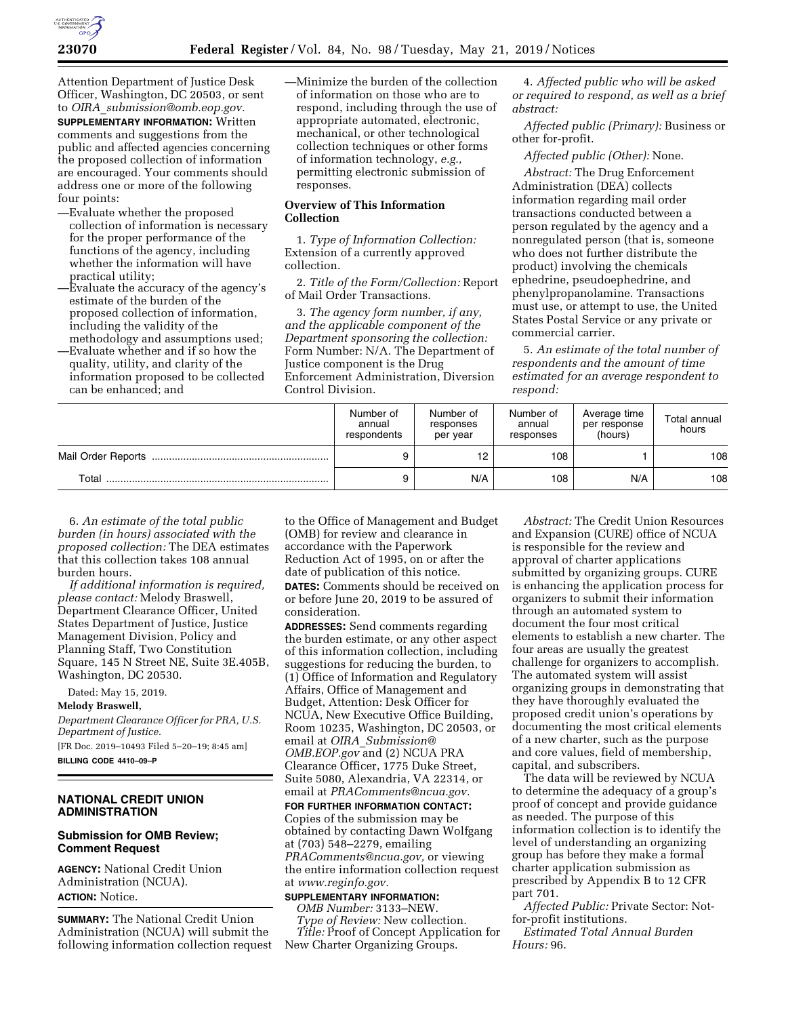

Attention Department of Justice Desk Officer, Washington, DC 20503, or sent to *OIRA*\_*[submission@omb.eop.gov.](mailto:OIRA_submission@omb.eop.gov)* 

**SUPPLEMENTARY INFORMATION:** Written comments and suggestions from the public and affected agencies concerning the proposed collection of information are encouraged. Your comments should address one or more of the following four points:

- —Evaluate whether the proposed collection of information is necessary for the proper performance of the functions of the agency, including whether the information will have practical utility;
- —Evaluate the accuracy of the agency's estimate of the burden of the proposed collection of information, including the validity of the methodology and assumptions used;
- —Evaluate whether and if so how the quality, utility, and clarity of the information proposed to be collected can be enhanced; and

—Minimize the burden of the collection of information on those who are to respond, including through the use of appropriate automated, electronic, mechanical, or other technological collection techniques or other forms of information technology, *e.g.,*  permitting electronic submission of responses.

# **Overview of This Information Collection**

1. *Type of Information Collection:*  Extension of a currently approved collection.

2. *Title of the Form/Collection:* Report of Mail Order Transactions.

3. *The agency form number, if any, and the applicable component of the Department sponsoring the collection:*  Form Number: N/A. The Department of Justice component is the Drug Enforcement Administration, Diversion Control Division.

4. *Affected public who will be asked or required to respond, as well as a brief abstract:* 

*Affected public (Primary):* Business or other for-profit.

*Affected public (Other):* None.

*Abstract:* The Drug Enforcement Administration (DEA) collects information regarding mail order transactions conducted between a person regulated by the agency and a nonregulated person (that is, someone who does not further distribute the product) involving the chemicals ephedrine, pseudoephedrine, and phenylpropanolamine. Transactions must use, or attempt to use, the United States Postal Service or any private or commercial carrier.

5. *An estimate of the total number of respondents and the amount of time estimated for an average respondent to respond:* 

|                    | Number of<br>annual<br>respondents | Number of<br>responses<br>per year | Number of<br>annual<br>responses | Average time<br>per response<br>(hours) | Total annual<br>hours |
|--------------------|------------------------------------|------------------------------------|----------------------------------|-----------------------------------------|-----------------------|
| Mail Order Reports |                                    |                                    | 108                              |                                         | 108                   |
| Total              | 9                                  | N/A                                | 108                              | N/A                                     | 108                   |

6. *An estimate of the total public burden (in hours) associated with the proposed collection:* The DEA estimates that this collection takes 108 annual burden hours.

*If additional information is required, please contact:* Melody Braswell, Department Clearance Officer, United States Department of Justice, Justice Management Division, Policy and Planning Staff, Two Constitution Square, 145 N Street NE, Suite 3E.405B, Washington, DC 20530.

Dated: May 15, 2019.

### **Melody Braswell,**

*Department Clearance Officer for PRA, U.S. Department of Justice.* 

[FR Doc. 2019–10493 Filed 5–20–19; 8:45 am] **BILLING CODE 4410–09–P** 

# **NATIONAL CREDIT UNION ADMINISTRATION**

#### **Submission for OMB Review; Comment Request**

**AGENCY:** National Credit Union Administration (NCUA). **ACTION:** Notice.

**SUMMARY:** The National Credit Union Administration (NCUA) will submit the following information collection request

to the Office of Management and Budget (OMB) for review and clearance in accordance with the Paperwork Reduction Act of 1995, on or after the date of publication of this notice. **DATES:** Comments should be received on

or before June 20, 2019 to be assured of consideration.

**ADDRESSES:** Send comments regarding the burden estimate, or any other aspect of this information collection, including suggestions for reducing the burden, to (1) Office of Information and Regulatory Affairs, Office of Management and Budget, Attention: Desk Officer for NCUA, New Executive Office Building, Room 10235, Washington, DC 20503, or email at *OIRA*\_*[Submission@](mailto:OIRA_Submission@OMB.EOP.gov) [OMB.EOP.gov](mailto:OIRA_Submission@OMB.EOP.gov)* and (2) NCUA PRA Clearance Officer, 1775 Duke Street, Suite 5080, Alexandria, VA 22314, or email at *[PRAComments@ncua.gov.](mailto:PRAComments@ncua.gov)* 

**FOR FURTHER INFORMATION CONTACT:**  Copies of the submission may be obtained by contacting Dawn Wolfgang at (703) 548–2279, emailing *[PRAComments@ncua.gov,](mailto:PRAComments@ncua.gov)* or viewing the entire information collection request at *[www.reginfo.gov.](http://www.reginfo.gov)* 

# **SUPPLEMENTARY INFORMATION:**

*OMB Number:* 3133–NEW. *Type of Review:* New collection. *Title:* Proof of Concept Application for New Charter Organizing Groups.

*Abstract:* The Credit Union Resources and Expansion (CURE) office of NCUA is responsible for the review and approval of charter applications submitted by organizing groups. CURE is enhancing the application process for organizers to submit their information through an automated system to document the four most critical elements to establish a new charter. The four areas are usually the greatest challenge for organizers to accomplish. The automated system will assist organizing groups in demonstrating that they have thoroughly evaluated the proposed credit union's operations by documenting the most critical elements of a new charter, such as the purpose and core values, field of membership, capital, and subscribers.

The data will be reviewed by NCUA to determine the adequacy of a group's proof of concept and provide guidance as needed. The purpose of this information collection is to identify the level of understanding an organizing group has before they make a formal charter application submission as prescribed by Appendix B to 12 CFR part 701.

*Affected Public:* Private Sector: Notfor-profit institutions.

*Estimated Total Annual Burden Hours:* 96.